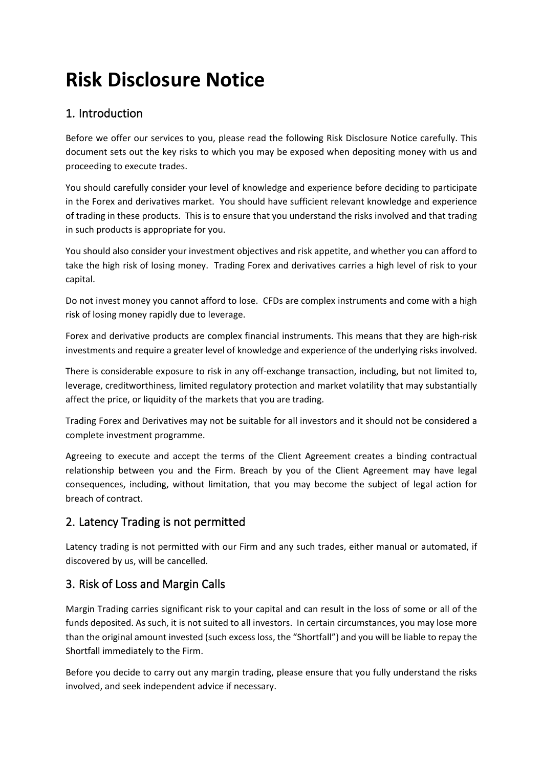# **Risk Disclosure Notice**

# 1. Introduction

Before we offer our services to you, please read the following Risk Disclosure Notice carefully. This document sets out the key risks to which you may be exposed when depositing money with us and proceeding to execute trades.

You should carefully consider your level of knowledge and experience before deciding to participate in the Forex and derivatives market. You should have sufficient relevant knowledge and experience of trading in these products. This is to ensure that you understand the risks involved and that trading in such products is appropriate for you.

You should also consider your investment objectives and risk appetite, and whether you can afford to take the high risk of losing money. Trading Forex and derivatives carries a high level of risk to your capital.

Do not invest money you cannot afford to lose. CFDs are complex instruments and come with a high risk of losing money rapidly due to leverage.

Forex and derivative products are complex financial instruments. This means that they are high-risk investments and require a greater level of knowledge and experience of the underlying risks involved.

There is considerable exposure to risk in any off-exchange transaction, including, but not limited to, leverage, creditworthiness, limited regulatory protection and market volatility that may substantially affect the price, or liquidity of the markets that you are trading.

Trading Forex and Derivatives may not be suitable for all investors and it should not be considered a complete investment programme.

Agreeing to execute and accept the terms of the Client Agreement creates a binding contractual relationship between you and the Firm. Breach by you of the Client Agreement may have legal consequences, including, without limitation, that you may become the subject of legal action for breach of contract.

# 2. Latency Trading is not permitted

Latency trading is not permitted with our Firm and any such trades, either manual or automated, if discovered by us, will be cancelled.

# 3. Risk of Loss and Margin Calls

Margin Trading carries significant risk to your capital and can result in the loss of some or all of the funds deposited. As such, it is not suited to all investors. In certain circumstances, you may lose more than the original amount invested (such excess loss, the "Shortfall") and you will be liable to repay the Shortfall immediately to the Firm.

Before you decide to carry out any margin trading, please ensure that you fully understand the risks involved, and seek independent advice if necessary.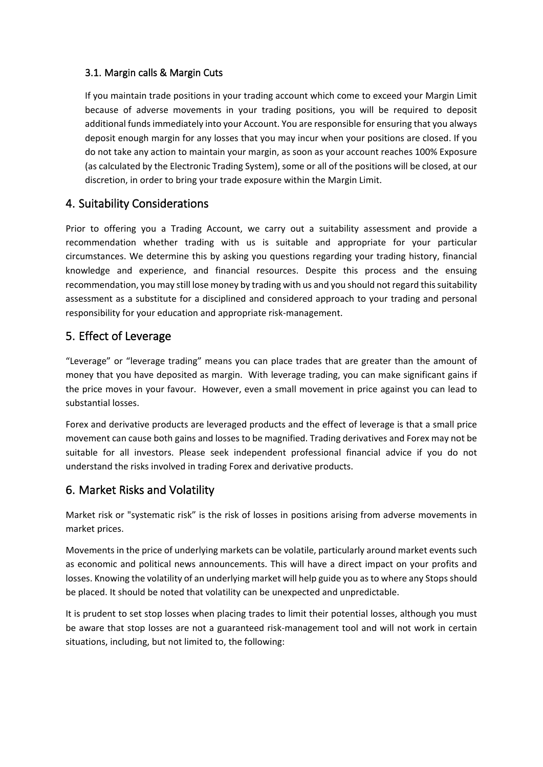#### 3.1. Margin calls & Margin Cuts

If you maintain trade positions in your trading account which come to exceed your Margin Limit because of adverse movements in your trading positions, you will be required to deposit additional funds immediately into your Account. You are responsible for ensuring that you always deposit enough margin for any losses that you may incur when your positions are closed. If you do not take any action to maintain your margin, as soon as your account reaches 100% Exposure (as calculated by the Electronic Trading System), some or all of the positions will be closed, at our discretion, in order to bring your trade exposure within the Margin Limit.

## 4. Suitability Considerations

Prior to offering you a Trading Account, we carry out a suitability assessment and provide a recommendation whether trading with us is suitable and appropriate for your particular circumstances. We determine this by asking you questions regarding your trading history, financial knowledge and experience, and financial resources. Despite this process and the ensuing recommendation, you may still lose money by trading with us and you should not regard this suitability assessment as a substitute for a disciplined and considered approach to your trading and personal responsibility for your education and appropriate risk-management.

## 5. Effect of Leverage

"Leverage" or "leverage trading" means you can place trades that are greater than the amount of money that you have deposited as margin. With leverage trading, you can make significant gains if the price moves in your favour. However, even a small movement in price against you can lead to substantial losses.

Forex and derivative products are leveraged products and the effect of leverage is that a small price movement can cause both gains and losses to be magnified. Trading derivatives and Forex may not be suitable for all investors. Please seek independent professional financial advice if you do not understand the risks involved in trading Forex and derivative products.

## 6. Market Risks and Volatility

Market risk or "systematic risk" is the risk of losses in positions arising from adverse movements in market prices.

Movements in the price of underlying markets can be volatile, particularly around market events such as economic and political news announcements. This will have a direct impact on your profits and losses. Knowing the volatility of an underlying market will help guide you as to where any Stops should be placed. It should be noted that volatility can be unexpected and unpredictable.

It is prudent to set stop losses when placing trades to limit their potential losses, although you must be aware that stop losses are not a guaranteed risk-management tool and will not work in certain situations, including, but not limited to, the following: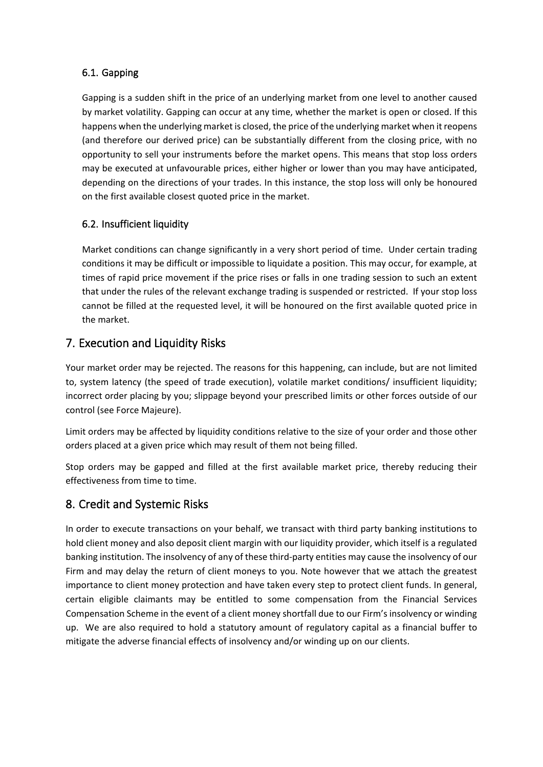#### 6.1. Gapping

Gapping is a sudden shift in the price of an underlying market from one level to another caused by market volatility. Gapping can occur at any time, whether the market is open or closed. If this happens when the underlying market is closed, the price of the underlying market when it reopens (and therefore our derived price) can be substantially different from the closing price, with no opportunity to sell your instruments before the market opens. This means that stop loss orders may be executed at unfavourable prices, either higher or lower than you may have anticipated, depending on the directions of your trades. In this instance, the stop loss will only be honoured on the first available closest quoted price in the market.

#### 6.2. Insufficient liquidity

Market conditions can change significantly in a very short period of time. Under certain trading conditions it may be difficult or impossible to liquidate a position. This may occur, for example, at times of rapid price movement if the price rises or falls in one trading session to such an extent that under the rules of the relevant exchange trading is suspended or restricted. If your stop loss cannot be filled at the requested level, it will be honoured on the first available quoted price in the market.

## 7. Execution and Liquidity Risks

Your market order may be rejected. The reasons for this happening, can include, but are not limited to, system latency (the speed of trade execution), volatile market conditions/ insufficient liquidity; incorrect order placing by you; slippage beyond your prescribed limits or other forces outside of our control (see Force Majeure).

Limit orders may be affected by liquidity conditions relative to the size of your order and those other orders placed at a given price which may result of them not being filled.

Stop orders may be gapped and filled at the first available market price, thereby reducing their effectiveness from time to time.

## 8. Credit and Systemic Risks

In order to execute transactions on your behalf, we transact with third party banking institutions to hold client money and also deposit client margin with our liquidity provider, which itself is a regulated banking institution. The insolvency of any of these third-party entities may cause the insolvency of our Firm and may delay the return of client moneys to you. Note however that we attach the greatest importance to client money protection and have taken every step to protect client funds. In general, certain eligible claimants may be entitled to some compensation from the Financial Services Compensation Scheme in the event of a client money shortfall due to our Firm's insolvency or winding up. We are also required to hold a statutory amount of regulatory capital as a financial buffer to mitigate the adverse financial effects of insolvency and/or winding up on our clients.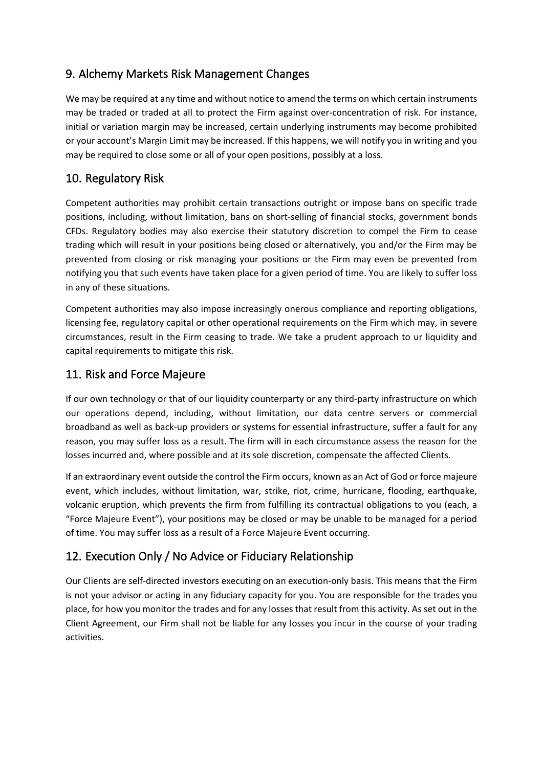# 9. Alchemy Markets Risk Management Changes

We may be required at any time and without notice to amend the terms on which certain instruments may be traded or traded at all to protect the Firm against over-concentration of risk. For instance, initial or variation margin may be increased, certain underlying instruments may become prohibited or your account's Margin Limit may be increased. If this happens, we will notify you in writing and you may be required to close some or all of your open positions, possibly at a loss.

# 10. Regulatory Risk

Competent authorities may prohibit certain transactions outright or impose bans on specific trade positions, including, without limitation, bans on short-selling of financial stocks, government bonds CFDs. Regulatory bodies may also exercise their statutory discretion to compel the Firm to cease trading which will result in your positions being closed or alternatively, you and/or the Firm may be prevented from closing or risk managing your positions or the Firm may even be prevented from notifying you that such events have taken place for a given period of time. You are likely to suffer loss in any of these situations.

Competent authorities may also impose increasingly onerous compliance and reporting obligations, licensing fee, regulatory capital or other operational requirements on the Firm which may, in severe circumstances, result in the Firm ceasing to trade. We take a prudent approach to ur liquidity and capital requirements to mitigate this risk.

## 11. Risk and Force Majeure

If our own technology or that of our liquidity counterparty or any third-party infrastructure on which our operations depend, including, without limitation, our data centre servers or commercial broadband as well as back-up providers or systems for essential infrastructure, suffer a fault for any reason, you may suffer loss as a result. The firm will in each circumstance assess the reason for the losses incurred and, where possible and at its sole discretion, compensate the affected Clients.

If an extraordinary event outside the control the Firm occurs, known as an Act of God or force majeure event, which includes, without limitation, war, strike, riot, crime, hurricane, flooding, earthquake, volcanic eruption, which prevents the firm from fulfilling its contractual obligations to you (each, a "Force Majeure Event"), your positions may be closed or may be unable to be managed for a period of time. You may suffer loss as a result of a Force Majeure Event occurring.

# 12. Execution Only / No Advice or Fiduciary Relationship

Our Clients are self-directed investors executing on an execution-only basis. This means that the Firm is not your advisor or acting in any fiduciary capacity for you. You are responsible for the trades you place, for how you monitor the trades and for any losses that result from this activity. As set out in the Client Agreement, our Firm shall not be liable for any losses you incur in the course of your trading activities.